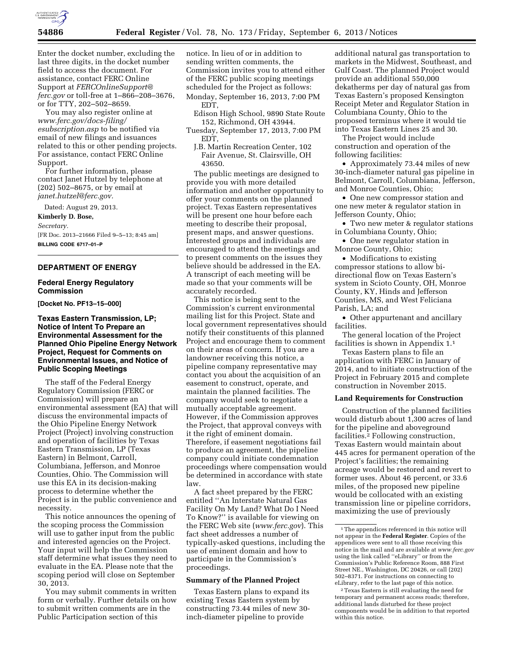

Enter the docket number, excluding the last three digits, in the docket number field to access the document. For assistance, contact FERC Online Support at *[FERCOnlineSupport@](mailto:FERCOnlineSupport@ferc.gov) [ferc.gov](mailto:FERCOnlineSupport@ferc.gov)* or toll-free at 1–866–208–3676, or for TTY, 202–502–8659.

You may also register online at *[www.ferc.gov/docs-filing/](http://www.ferc.gov/docs-filing/esubscription.asp) [esubscription.asp](http://www.ferc.gov/docs-filing/esubscription.asp)* to be notified via email of new filings and issuances related to this or other pending projects. For assistance, contact FERC Online Support.

For further information, please contact Janet Hutzel by telephone at (202) 502–8675, or by email at *[janet.hutzel@ferc.gov.](mailto:janet.hutzel@ferc.gov)* 

Dated: August 29, 2013.

#### **Kimberly D. Bose,**

*Secretary.*  [FR Doc. 2013–21666 Filed 9–5–13; 8:45 am] **BILLING CODE 6717–01–P** 

## **DEPARTMENT OF ENERGY**

### **Federal Energy Regulatory Commission**

**[Docket No. PF13–15–000]** 

## **Texas Eastern Transmission, LP; Notice of Intent To Prepare an Environmental Assessment for the Planned Ohio Pipeline Energy Network Project, Request for Comments on Environmental Issues, and Notice of Public Scoping Meetings**

The staff of the Federal Energy Regulatory Commission (FERC or Commission) will prepare an environmental assessment (EA) that will discuss the environmental impacts of the Ohio Pipeline Energy Network Project (Project) involving construction and operation of facilities by Texas Eastern Transmission, LP (Texas Eastern) in Belmont, Carroll, Columbiana, Jefferson, and Monroe Counties, Ohio. The Commission will use this EA in its decision-making process to determine whether the Project is in the public convenience and necessity.

This notice announces the opening of the scoping process the Commission will use to gather input from the public and interested agencies on the Project. Your input will help the Commission staff determine what issues they need to evaluate in the EA. Please note that the scoping period will close on September 30, 2013.

You may submit comments in written form or verbally. Further details on how to submit written comments are in the Public Participation section of this

notice. In lieu of or in addition to sending written comments, the Commission invites you to attend either of the FERC public scoping meetings scheduled for the Project as follows: Monday, September 16, 2013, 7:00 PM EDT,

Edison High School, 9890 State Route 152, Richmond, OH 43944.

Tuesday, September 17, 2013, 7:00 PM EDT,

J.B. Martin Recreation Center, 102 Fair Avenue, St. Clairsville, OH 43650.

The public meetings are designed to provide you with more detailed information and another opportunity to offer your comments on the planned project. Texas Eastern representatives will be present one hour before each meeting to describe their proposal, present maps, and answer questions. Interested groups and individuals are encouraged to attend the meetings and to present comments on the issues they believe should be addressed in the EA. A transcript of each meeting will be made so that your comments will be accurately recorded.

This notice is being sent to the Commission's current environmental mailing list for this Project. State and local government representatives should notify their constituents of this planned Project and encourage them to comment on their areas of concern. If you are a landowner receiving this notice, a pipeline company representative may contact you about the acquisition of an easement to construct, operate, and maintain the planned facilities. The company would seek to negotiate a mutually acceptable agreement. However, if the Commission approves the Project, that approval conveys with it the right of eminent domain. Therefore, if easement negotiations fail to produce an agreement, the pipeline company could initiate condemnation proceedings where compensation would be determined in accordance with state law.

A fact sheet prepared by the FERC entitled ''An Interstate Natural Gas Facility On My Land? What Do I Need To Know?'' is available for viewing on the FERC Web site (*[www.ferc.gov](http://www.ferc.gov)*). This fact sheet addresses a number of typically-asked questions, including the use of eminent domain and how to participate in the Commission's proceedings.

# **Summary of the Planned Project**

Texas Eastern plans to expand its existing Texas Eastern system by constructing 73.44 miles of new 30 inch-diameter pipeline to provide

additional natural gas transportation to markets in the Midwest, Southeast, and Gulf Coast. The planned Project would provide an additional 550,000 dekatherms per day of natural gas from Texas Eastern's proposed Kensington Receipt Meter and Regulator Station in Columbiana County, Ohio to the proposed terminus where it would tie into Texas Eastern Lines 25 and 30.

The Project would include construction and operation of the following facilities:

• Approximately 73.44 miles of new 30-inch-diameter natural gas pipeline in Belmont, Carroll, Columbiana, Jefferson, and Monroe Counties, Ohio;

• One new compressor station and one new meter & regulator station in Jefferson County, Ohio;

• Two new meter & regulator stations in Columbiana County, Ohio;

• One new regulator station in Monroe County, Ohio;

• Modifications to existing compressor stations to allow bidirectional flow on Texas Eastern's system in Scioto County, OH, Monroe County, KY, Hinds and Jefferson Counties, MS, and West Feliciana Parish, LA; and

• Other appurtenant and ancillary facilities.

The general location of the Project facilities is shown in Appendix 1.1

Texas Eastern plans to file an application with FERC in January of 2014, and to initiate construction of the Project in February 2015 and complete construction in November 2015.

### **Land Requirements for Construction**

Construction of the planned facilities would disturb about 1,300 acres of land for the pipeline and aboveground facilities.2 Following construction, Texas Eastern would maintain about 445 acres for permanent operation of the Project's facilities; the remaining acreage would be restored and revert to former uses. About 46 percent, or 33.6 miles, of the proposed new pipeline would be collocated with an existing transmission line or pipeline corridors, maximizing the use of previously

2Texas Eastern is still evaluating the need for temporary and permanent access roads; therefore, additional lands disturbed for these project components would be in addition to that reported within this notice.

<sup>1</sup>The appendices referenced in this notice will not appear in the **Federal Register**. Copies of the appendices were sent to all those receiving this notice in the mail and are available at *[www.ferc.gov](http://www.ferc.gov)*  using the link called ''eLibrary'' or from the Commission's Public Reference Room, 888 First Street NE., Washington, DC 20426, or call (202) 502–8371. For instructions on connecting to eLibrary, refer to the last page of this notice.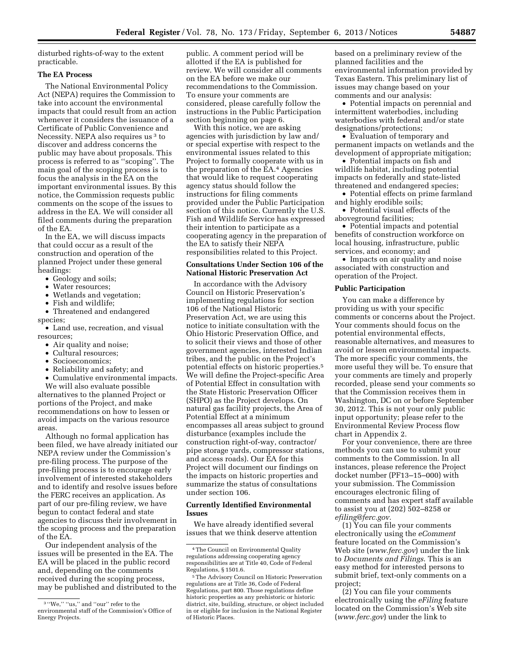disturbed rights-of-way to the extent practicable.

# **The EA Process**

The National Environmental Policy Act (NEPA) requires the Commission to take into account the environmental impacts that could result from an action whenever it considers the issuance of a Certificate of Public Convenience and Necessity. NEPA also requires us<sup>3</sup> to discover and address concerns the public may have about proposals. This process is referred to as ''scoping''. The main goal of the scoping process is to focus the analysis in the EA on the important environmental issues. By this notice, the Commission requests public comments on the scope of the issues to address in the EA. We will consider all filed comments during the preparation of the EA.

In the EA, we will discuss impacts that could occur as a result of the construction and operation of the planned Project under these general headings:

- Geology and soils;
- Water resources;
- Wetlands and vegetation;
- Fish and wildlife;
- Threatened and endangered
- species;

• Land use, recreation, and visual resources;

- Air quality and noise;
- Cultural resources;
- Socioeconomics;
- Reliability and safety; and
- Cumulative environmental impacts.

We will also evaluate possible alternatives to the planned Project or portions of the Project, and make recommendations on how to lessen or avoid impacts on the various resource areas.

Although no formal application has been filed, we have already initiated our NEPA review under the Commission's pre-filing process. The purpose of the pre-filing process is to encourage early involvement of interested stakeholders and to identify and resolve issues before the FERC receives an application. As part of our pre-filing review, we have begun to contact federal and state agencies to discuss their involvement in the scoping process and the preparation of the EA.

Our independent analysis of the issues will be presented in the EA. The EA will be placed in the public record and, depending on the comments received during the scoping process, may be published and distributed to the public. A comment period will be allotted if the EA is published for review. We will consider all comments on the EA before we make our recommendations to the Commission. To ensure your comments are considered, please carefully follow the instructions in the Public Participation section beginning on page 6.

With this notice, we are asking agencies with jurisdiction by law and/ or special expertise with respect to the environmental issues related to this Project to formally cooperate with us in the preparation of the EA.4 Agencies that would like to request cooperating agency status should follow the instructions for filing comments provided under the Public Participation section of this notice. Currently the U.S. Fish and Wildlife Service has expressed their intention to participate as a cooperating agency in the preparation of the EA to satisfy their NEPA responsibilities related to this Project.

### **Consultations Under Section 106 of the National Historic Preservation Act**

In accordance with the Advisory Council on Historic Preservation's implementing regulations for section 106 of the National Historic Preservation Act, we are using this notice to initiate consultation with the Ohio Historic Preservation Office, and to solicit their views and those of other government agencies, interested Indian tribes, and the public on the Project's potential effects on historic properties.5 We will define the Project-specific Area of Potential Effect in consultation with the State Historic Preservation Officer (SHPO) as the Project develops. On natural gas facility projects, the Area of Potential Effect at a minimum encompasses all areas subject to ground disturbance (examples include the construction right-of-way, contractor/ pipe storage yards, compressor stations, and access roads). Our EA for this Project will document our findings on the impacts on historic properties and summarize the status of consultations under section 106.

# **Currently Identified Environmental Issues**

We have already identified several issues that we think deserve attention based on a preliminary review of the planned facilities and the environmental information provided by Texas Eastern. This preliminary list of issues may change based on your comments and our analysis:

• Potential impacts on perennial and intermittent waterbodies, including waterbodies with federal and/or state designations/protections;

• Evaluation of temporary and permanent impacts on wetlands and the development of appropriate mitigation;

• Potential impacts on fish and wildlife habitat, including potential impacts on federally and state-listed threatened and endangered species;

• Potential effects on prime farmland and highly erodible soils;

• Potential visual effects of the aboveground facilities;

• Potential impacts and potential benefits of construction workforce on local housing, infrastructure, public services, and economy; and

• Impacts on air quality and noise associated with construction and operation of the Project.

### **Public Participation**

You can make a difference by providing us with your specific comments or concerns about the Project. Your comments should focus on the potential environmental effects, reasonable alternatives, and measures to avoid or lessen environmental impacts. The more specific your comments, the more useful they will be. To ensure that your comments are timely and properly recorded, please send your comments so that the Commission receives them in Washington, DC on or before September 30, 2012. This is not your only public input opportunity; please refer to the Environmental Review Process flow chart in Appendix 2.

For your convenience, there are three methods you can use to submit your comments to the Commission. In all instances, please reference the Project docket number (PF13–15–000) with your submission. The Commission encourages electronic filing of comments and has expert staff available to assist you at (202) 502–8258 or *[efiling@ferc.gov.](mailto:efiling@ferc.gov)* 

(1) You can file your comments electronically using the *eComment*  feature located on the Commission's Web site (*[www.ferc.gov](http://www.ferc.gov)*) under the link to *Documents and Filings*. This is an easy method for interested persons to submit brief, text-only comments on a project;

(2) You can file your comments electronically using the *eFiling* feature located on the Commission's Web site (*[www.ferc.gov](http://www.ferc.gov)*) under the link to

 $^3$  "We," "us," and "our" refer to the environmental staff of the Commission's Office of Energy Projects.

<sup>4</sup>The Council on Environmental Quality regulations addressing cooperating agency responsibilities are at Title 40, Code of Federal Regulations, § 1501.6.

<sup>5</sup>The Advisory Council on Historic Preservation regulations are at Title 36, Code of Federal Regulations, part 800. Those regulations define historic properties as any prehistoric or historic district, site, building, structure, or object included in or eligible for inclusion in the National Register of Historic Places.